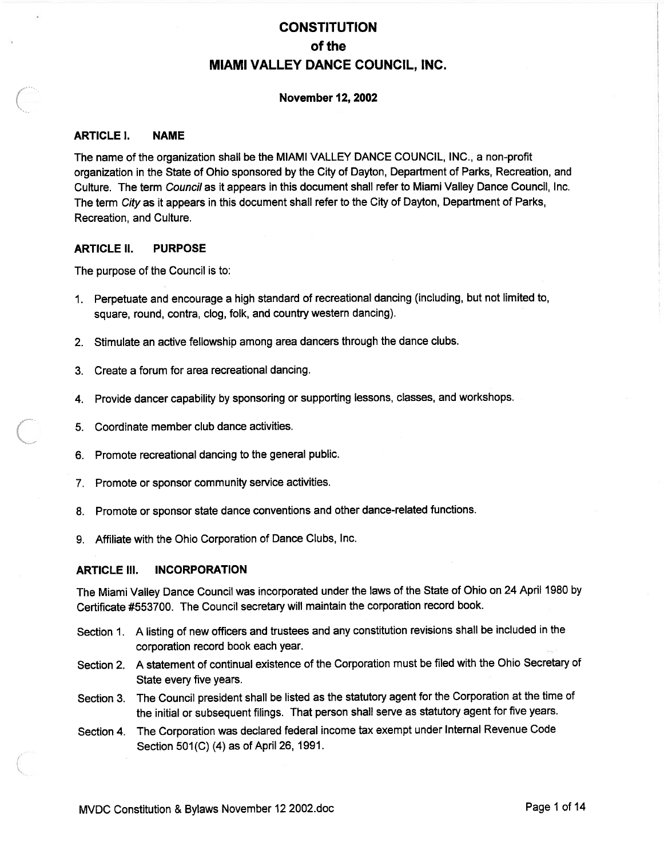# **CONSTITUTION** of the MIAMI VALLEY DANCE COUNCIL, INC.

### November 12,2002

### ARTICLE I. NAME

The name of the organization shall be the MIAMI VALLEY DANCE COUNCIL, INC., a non-profit organization in the State of Ohio sponsored by the City of Dayton, Department of Parks, Recreation, and Culture. The term Council as it appears in this document shall refer to Miami Valley Dance Council, Inc. The term City as it appears in this document shall refer to the City of Dayton, Department of Parks, Recreation, and Culture.

#### ARTICLE II. PURPOSE

The purpose of the Council is to:

- 1. Perpetuate and encourage a high standard of recreational dancing (including, but not limited to, square, round, contra, clog, folk, and country western dancing).
- 2. Stimulate an active fellowship among area dancers through the dance clubs.
- 3. Create a forum for area recreational dancing.
- 4. Provide dancer capability by sponsoring or supporting lessons, classes, and workshops.
- 5. Coordinate member club dance activities.
- 6. Promote recreational dancing to the general public.
- 7. Promote or sponsor community service activities.
- 8. Promote or sponsor state dance conventions and other dance-related functions.
- 9. Affiliate with the Ohio Corporation of Dance Clubs, Inc.

## ARTICLE III. INCORPORATION

The Miami Valley Dance Council was incorporated under the laws of the State of Ohio on 24 April 1980 by Certificate #553700. The Council secretary will maintain the corporation record book.

- Section 1. A listing of new officers and trustees and any constitution revisions shall be included in the corporation record book each year.
- Section 2. A statement of continual existence of the Corporation must be filed with the Ohio Secretary of State every five years.
- Section 3. The Council president shall be listed as the statutory agent for the Corporation at the time of the initial or SUbsequent filings. That person shall serve as statutory agent for five years.
- Section 4. The Corporation was declared federal income tax exempt under Internal Revenue Code Section 501(C) (4) as of April 26, 1991.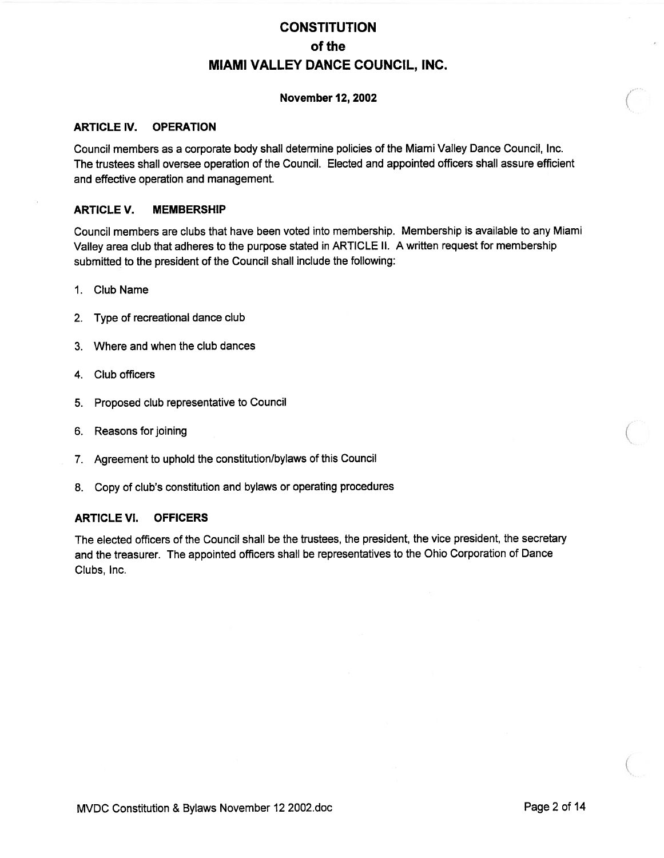# **CONSTITUTION** of the **MIAMI VALLEY DANCE COUNCIL, INC.**

## **November** 12, **2002**

## **ARTICLE IV. OPERATION**

Council members as a corporate body shall determine policies of the Miami Valley Dance Council, Inc. The trustees shall oversee operation of the Council. Elected and appointed officers shall assure efficient and effective operation and management.

### **ARTICLE V. MEMBERSHIP**

Council members are clubs that have been voted into membership. Membership is available to any Miami Valley area club that adheres to the purpose stated in ARTICLE II. A written request for membership submitted to the president of the Council shall include the following:

- 1. Club Name
- 2. Type of recreational dance club
- 3. Where and when the club dances
- 4. Club officers
- 5. Proposed club representative to Council
- 6. Reasons for joining
- 7. Agreement to uphold the constitution/bylaws of this Council
- 8. Copy of club's constitution and bylaws or operating procedures

#### **ARTICLE** VI. **OFFICERS**

The elected officers of the Council shall be the trustees, the president, the vice president, the secretary and the treasurer. The appointed officers shall be representatives to the Ohio Corporation of Dance Clubs, Inc.

 $\big($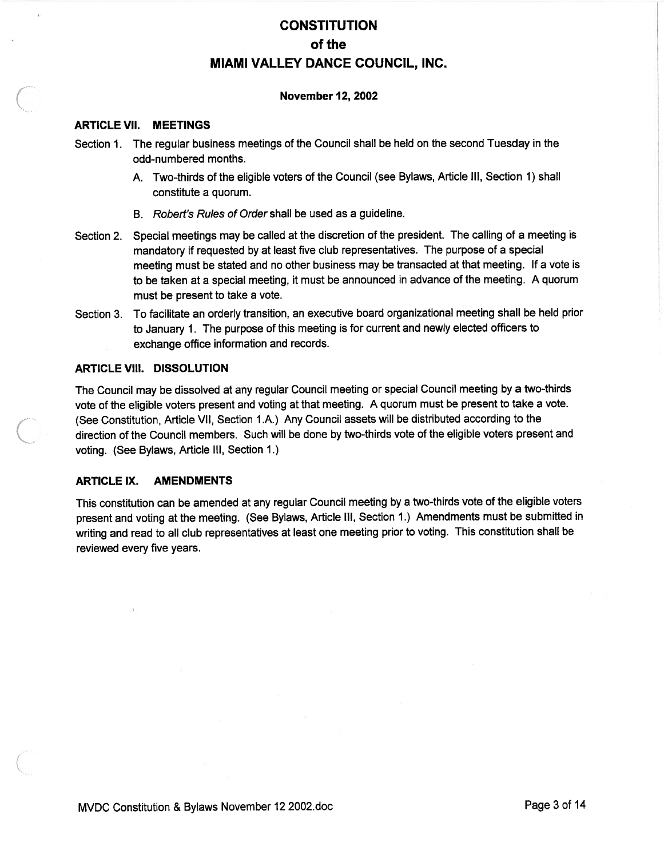# **CONSTITUTION** of the MIAMI VALLEY DANCE COUNCIL, INC.

### Novernber12,2002

## ARTICLE VII. MEETINGS

C"....

 $\overline{\left( \right. }$ 

Section 1. The regular business meetings of the Council shall be held on the second Tuesday in the odd-numbered months.

- A. Two-thirds of the eligible voters of the Council (see Bylaws, Article III, Section 1) shall constitute a quorum.
- B. Robert's Rules of Order shall be used as a guideline.
- Section 2. Special meetings may be called at the discretion of the president. The calling of a meeting is mandatory if requested by at least five club representatives. The purpose of a special meeting must be stated and no other business may be transacted at that meeting. If a vote is to be taken at a special meeting, it must be announced in advance of the meeting. A quorum must be present to take a vote.
- Section 3. To facilitate an orderly transition, an executive board organizational meeting shall be held prior to January 1. The purpose of this meeting is for current and newly elected officers to exchange office information and records.

## ARTICLE VIII. DISSOLUTION

The Council may be dissolved at any regular Council meeting or special Council meeting by a two-thirds vote of the eligible voters present and voting at that meeting. A quorum must be present to take a vote. (See Constitution, Article VII, Section 1.A.) Any Council assets will be distributed according to the direction of the Council members. Such will be done by two-thirds vote of the eligible voters present and voting. (See Bylaws, Article III, Section 1.)

## ARTICLE IX. AMENDMENTS

This constitution can be amended at any regular Council meeting by a two-thirds vote of the eligible voters present and voting at the meeting. (See Bylaws, Article III, Section 1.) Amendments must be submitted in writing and read to all club representatives at least one meeting prior to voting. This constitution shall be reviewed every five years.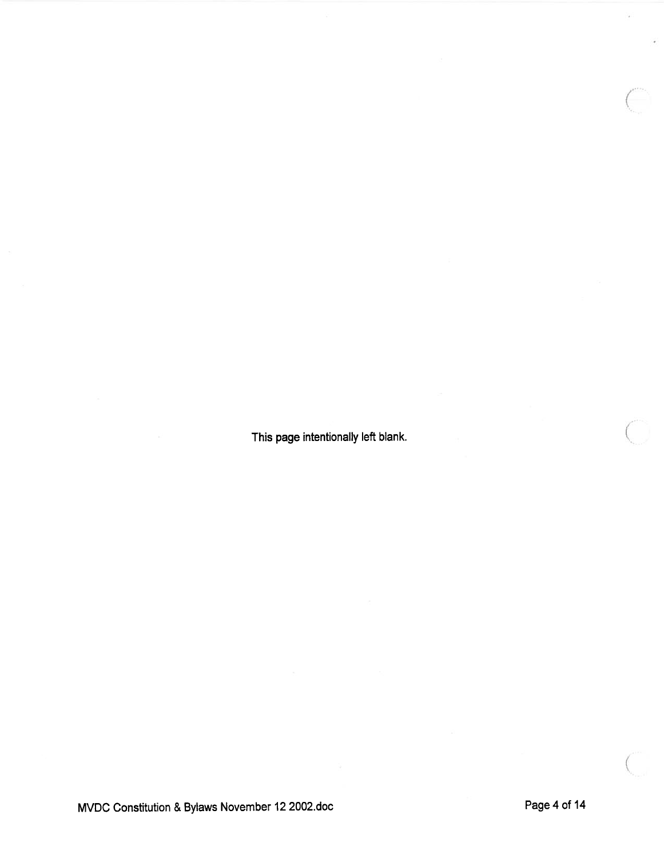This page intentionally left blank.

 $\overline{\phantom{a}}$ 

(

 $($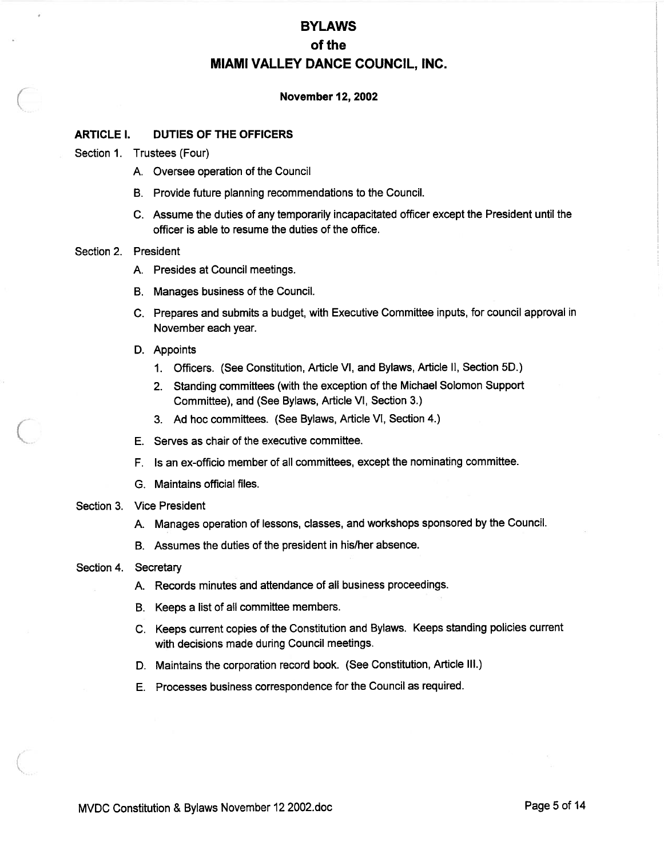#### **November** 12, **2002**

#### **ARTICLE I. DUTIES OF THE OFFICERS**

Section 1. Trustees (Four)

(

 $\big($ 

 $\overline{\left( \right. }$ 

- A. Oversee operation of the Council
- B. Provide future planning recommendations to the Council.
- C. Assume the duties of any temporarily incapacitated officer except the President until the officer is able to resume the duties of the office.

#### Section 2. President

- A. Presides at Council meetings.
- B. Manages business of the Council.
- C. Prepares and submits a budget, with Executive Committee inputs, for council approval in November each year.
- O. Appoints
	- 1. Officers. (See Constitution, Article VI, and Bylaws, Article II, Section 50.)
	- 2. Standing committees (with the exception of the Michael Solomon Support Committee), and (See Bylaws, Article VI, Section 3.)
	- 3. Ad hoc committees. (See Bylaws, Article VI, Section 4.)
- E. Serves as chair of the executive committee.
- F. Is an ex-officio member of all committees, except the nominating committee.
- G. Maintains official files.

#### Section 3. Vice President

- A. Manages operation of lessons, classes, and workshops sponsored by the Council.
- B. Assumes the duties of the president in his/her absence.

#### Section 4. Secretary

- A. Records minutes and attendance of all business proceedings.
- B. Keeps a list of all committee members.
- C. Keeps current copies of the Constitution and Bylaws. Keeps standing policies current with decisions made during Council meetings.
- O. Maintains the corporation record book. (See Constitution, Article III.)
- E. Processes business correspondence for the Council as required.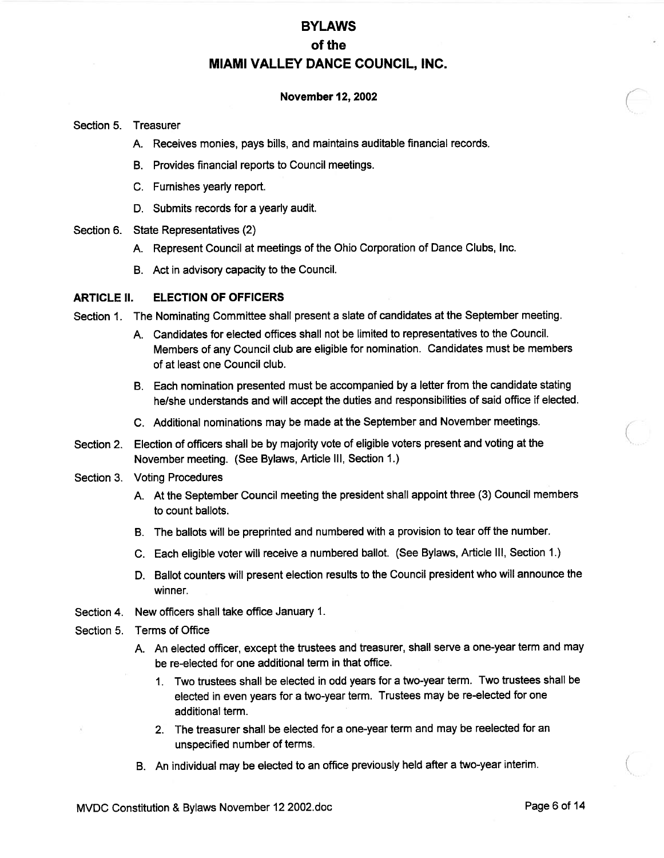### **November** 12, **2002**

### Section 5. Treasurer

- A. Receives monies, pays bills, and maintains auditable financial records.
- B. Provides financial reports to Council meetings.
- C. Furnishes yearly report.
- D. Submits records for a yearly audit.

### Section 6. State Representatives (2)

- A. Represent Council at meetings of the Ohio Corporation of Dance Clubs, Inc.
- B. Act in advisory capacity to the Council.

#### **ARTICLE II. ELECTION OF OFFICERS**

- Section 1. The Nominating Committee shall present a slate of candidates at the September meeting.
	- A. Candidates for elected offices shall not be limited to representatives to the Council. Members of any Council club are eligible for nomination. Candidates must be members of at least one Council club.
	- B. Each nomination presented must be accompanied by a letter from the candidate stating he/she understands and will accept the duties and responsibilities of said office if elected.
	- C. Additional nominations may be made at the September and November meetings.
- Section 2. Election of officers shall be by majority vote of eligible voters present and voting at the November meeting. (See Bylaws, Article III, Section 1.)
- Section 3. Voting Procedures
	- A. At the September Council meeting the president shall appoint three (3) Council members to count ballots.
	- B. The ballots will be preprinted and numbered with a provision to tear off the number.
	- C. Each eligible voter will receive a numbered ballot. (See Bylaws, Article III, Section 1.)
	- D. Ballot counters will present election results to the Council president who will announce the winner.
- Section 4. New officers shall take office January 1.
- Section 5. Terms of Office
	- A. An elected officer, except the trustees and treasurer, shall serve a one-year term and may be re-elected for one additional term in that office.
		- 1. Two trustees shall be elected in odd years for a two-year term. Two trustees shall be elected in even years for a two-year term. Trustees may be re-elected for one additional term.
		- 2. The treasurer shall be elected for a one-year term and may be reelected for an unspecified number of terms.
	- B. An individual may be elected to an office previously held after a two-year interim.

 $\overline{\phantom{a}}$ 

(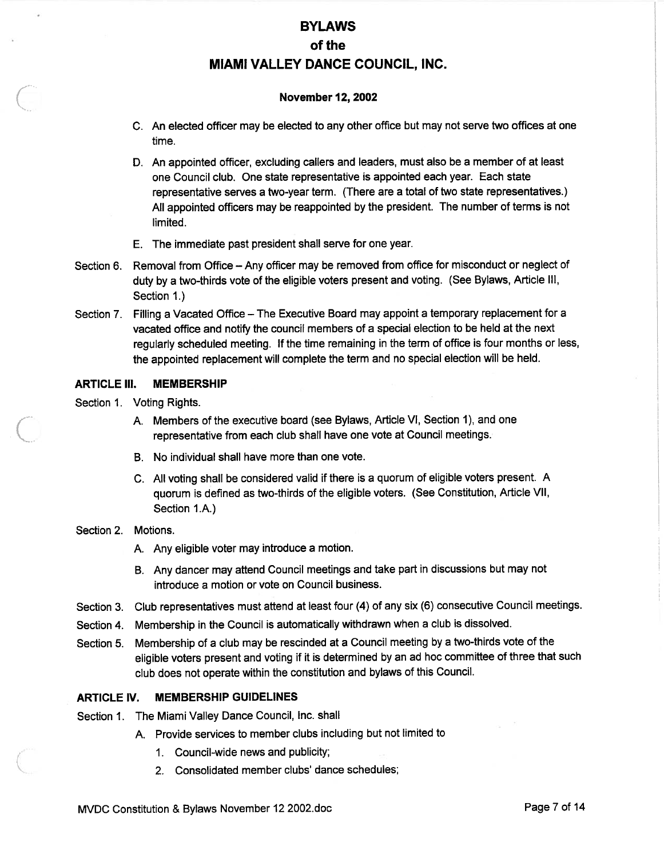## **November 12, 2002**

- C. An elected officer may be elected to any other office but may not serve two offices at one time.
- D. An appointed officer, excluding callers and leaders, must also be a member of at least one Council club. One state representative is appointed each year. Each state representative serves a two-year term. (There are a total of two state representatives.) All appointed officers may be reappointed by the president. The number of terms is not limited.
- E. The immediate past president shall serve for one year.
- Section 6. Removal from Office Any officer may be removed from office for misconduct or neglect of duty by a two-thirds vote of the eligible voters present and voting. (See Bylaws, Article III, Section 1.)
- Section 7. Filling a Vacated Office The Executive Board may appoint a temporary replacement for a vacated office and notify the council members of a special election to be held at the next regularly scheduled meeting. If the time remaining in the term of office is four months or less, the appointed replacement will complete the term and no special election will be held.

## **ARTICLE III. MEMBERSHIP**

- Section 1. Voting Rights.
	- A. Members of the executive board (see Bylaws, Article VI, Section 1), and one representative from each club shall have one vote at Council meetings.
	- B. No individual shall have more than one vote.
	- C. All voting shall be considered valid if there is a quorum of eligible voters present. A quorum is defined as two-thirds of the eligible voters. (See Constitution, Article VII, Section 1.A.)

## Section 2. Motions.

 $\left($ 

- A. Any eligible voter may introduce a motion.
- B. Any dancer may attend Council meetings and take part in discussions but may not introduce a motion or vote on Council business.
- Section 3. Club representatives must attend at least four (4) of any six (6) consecutive Council meetings.
- Section 4. Membership in the Council is automatically withdrawn when a club is dissolved.
- Section 5. Membership of a club may be rescinded at a Council meeting by a two-thirds vote of the eligible voters present and voting if it is determined by an ad hoc committee of three that such club does not operate within the constitution and bylaws of this Council.

## **ARTICLE IV. MEMBERSHIP GUIDELINES**

- Section 1. The Miami Valley Dance Council, Inc. shall
	- A. Provide services to member clubs including but not limited to
		- 1. Council-wide news and publicity;
		- 2. Consolidated member clubs' dance schedules;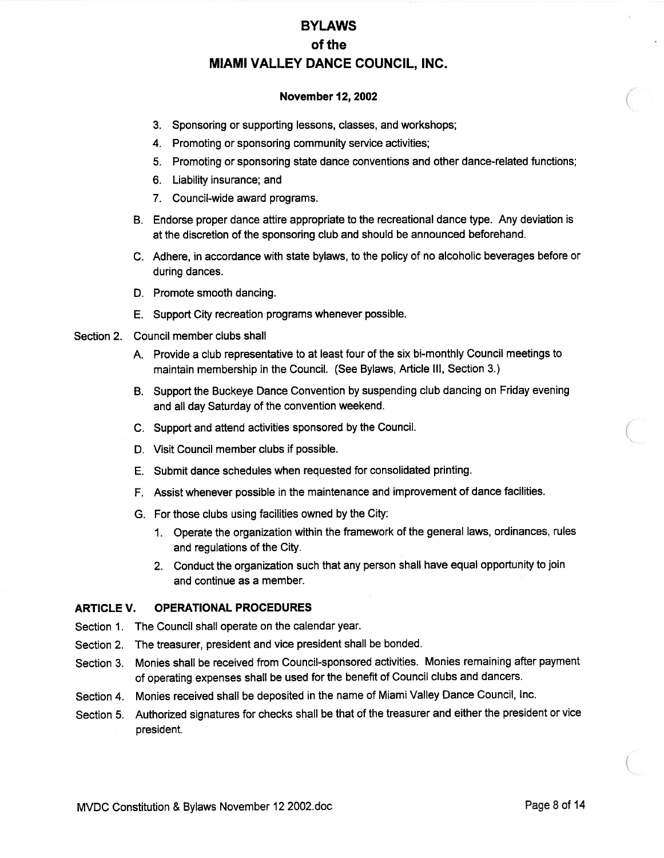## November 12, 2002

- 3. Sponsoring or supporting lessons, classes, and workshops;
- 4. Promoting or sponsoring community service activities;
- 5. Promoting or sponsoring state dance conventions and other dance-related functions;
- 6. Liability insurance; and
- 7. Council-wide award programs.
- B. Endorse proper dance attire appropriate to the recreational dance type. Any deviation is at the discretion of the sponsoring club and should be announced beforehand.
- C. Adhere, in accordance with state bylaws, to the policy of no alcoholic beverages before or during dances.
- D. Promote smooth dancing.
- E. Support City recreation programs whenever possible.
- Section 2. Council member clubs shall
	- A. Provide a club representative to at least four of the six bi-monthly Council meetings to maintain membership in the Council. (See Bylaws, Article III, Section 3.)
	- B. Support the Buckeye Dance Convention by suspending club dancing on Friday evening and all day Saturday of the convention weekend.
	- C. Support and attend activities sponsored by the Council.
	- D. Visit Council member clubs if possible.
	- E. Submit dance schedules when requested for consolidated printing.
	- F. Assist whenever possible in the maintenance and improvement of dance facilities.
	- G. For those clubs using facilities owned by the City:
		- 1. Operate the organization within the framework of the general laws, ordinances, rules and regulations of the City.
		- 2. Conduct the organization such that any person shall have equal opportunity to join and continue as a member.

#### ARTICLE V. OPERATIONAL PROCEDURES

- Section 1. The Council shall operate on the calendar year.
- Section 2. The treasurer, president and vice president shall be bonded.
- Section 3. Monies shall be received from Council-sponsored activities. Monies remaining after payment of operating expenses shall be used for the benefit of Council clubs and dancers.
- Section 4. Monies received shall be deposited in the name of Miami Valley Dance Council, Inc.
- Section 5. Authorized signatures for checks shall be that of the treasurer and either the president or vice president.

 $($ 

(

 $\left($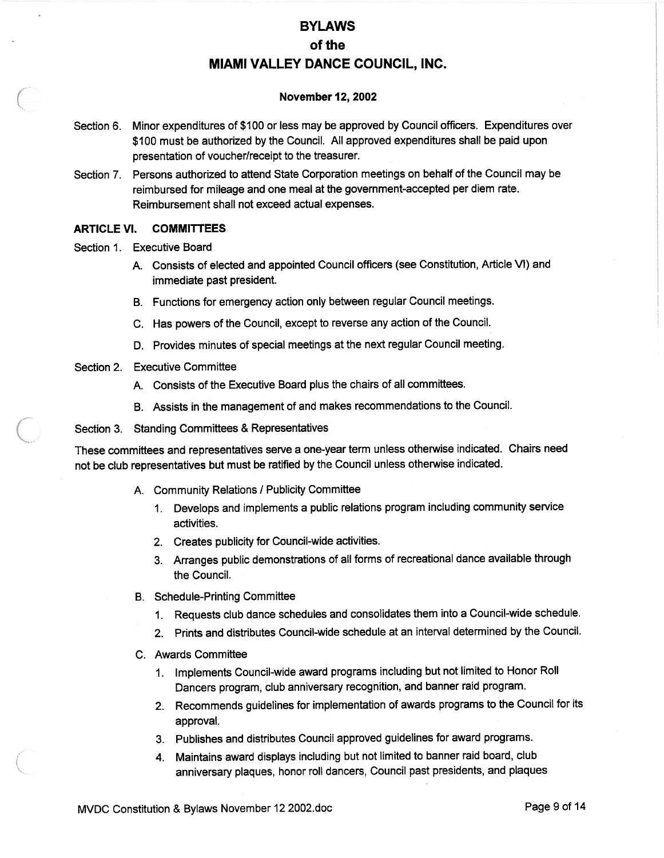### ( **November 12, 2002**

- Section 6. Minor expenditures of \$100 or less may be approved by Council officers. Expenditures over \$100 must be authorized by the Council. All approved expenditures shall be paid upon presentation of voucher/receipt to the treasurer.
- Section 7. Persons authorized to attend State Corporation meetings on behalf of the Council may be reimbursed for mileage and one meal at the government-accepted per diem rate. Reimbursement shall not exceed actual expenses.

#### **ARTICLE VI. COMMITTEES**

- Section 1. Executive Board
	- A. Consists of elected and appointed Council officers (see Constitution, Article VI) and immediate past president.
	- B. Functions for emergency action only between regular Council meetings.
	- C. Has powers of the Council, except to reverse any action of the Council.
	- D. Provides minutes of special meetings at the next regular Council meeting.
- Section 2. Executive Committee
	- A. Consists of the Executive Board plus the chairs of all committees.
	- B. Assists in the management of and makes recommendations to the Council.
- Section 3. Standing Committees & Representatives

These committees and representatives serve a one-year term unless otherwise indicated. Chairs need not be club representatives but must be ratified by the Council unless otherwise indicated.

- A. Community Relations / Publicity Committee
	- 1. Develops and implements a public relations program including community service activities.
	- 2. Creates publicity for Council-wide activities.
	- 3. Arranges public demonstrations of all forms of recreational dance available through the Council.
- B. Schedule-Printing Committee
	- 1. Requests club dance schedules and consolidates them into a Council-wide schedule.
	- 2. Prints and distributes Council-wide schedule at an interval determined by the Council.
- C. Awards Committee
	- 1. Implements Council-wide award programs including but not limited to Honor Roll Dancers program, club anniversary recognition, and banner raid program.
	- 2. Recommends guidelines for implementation of awards programs to the Council for its approval.
	- 3. Publishes and distributes Council approved guidelines for award programs.
	- 4. Maintains award displays including but not limited to banner raid board, club anniversary plaques, honor roll dancers, Council past presidents, and plaques

 $\big($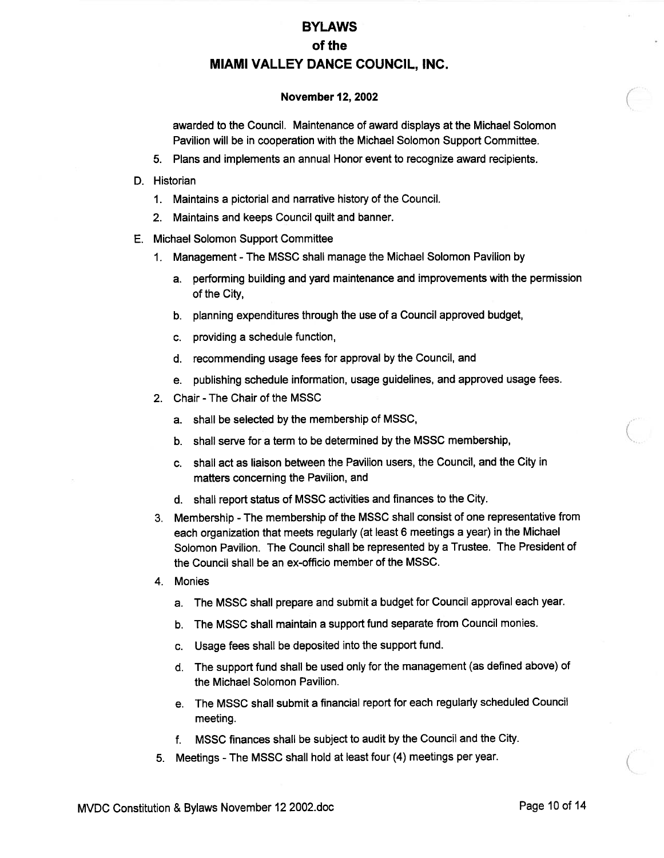#### **November** 12, **2002**

awarded to the Council. Maintenance of award displays at the Michael Solomon Pavilion will be in cooperation with the Michael Solomon Support Committee.

5. Plans and implements an annual Honor event to recognize award recipients.

#### D. Historian

- 1. Maintains a pictorial and narrative history of the Council.
- 2. Maintains and keeps Council quilt and banner.
- E. Michael Solomon Support Committee
	- 1. Management The MSSC shall manage the Michael Solomon Pavilion by
		- a. performing building and yard maintenance and improvements with the permission of the City,
		- b. planning expenditures through the use of a Council approved budget,
		- c. providing a schedule function,
		- d. recommending usage fees for approval by the Council, and
		- e. publishing schedule information, usage guidelines, and approved usage fees.
	- 2. Chair The Chair of the MSSC
		- a. shall be selected by the membership of MSSC,
		- b. shall serve for a term to be determined by the MSSC membership,
		- c. shall act as liaison between the Pavilion users, the Council, and the City in matters concerning the Pavilion, and
		- d. shall report status of MSSC activities and finances to the City.
	- 3. Membership The membership of the MSSC shall consist of one representative from each organization that meets regularly (at least 6 meetings a year) in the Michael Solomon Pavilion. The Council shall be represented by a Trustee. The President of the Council shall be an ex-officio member of the MSSC.
	- 4. Monies
		- a. The MSSC shall prepare and submit a budget for Council approval each year.
		- b. The MSSC shall maintain a support fund separate from Council monies.
		- c. Usage fees shall be deposited into the support fund.
		- d. The support fund shall be used only for the management (as defined above) of the Michael Solomon Pavilion.
		- e. The MSSC shall submit a financial report for each regularly scheduled Council meeting.
		- f. MSSC finances shall be subject to audit by the Council and the City.
	- 5. Meetings The MSSC shall hold at least four (4) meetings per year.

 $\big($ 

 $\big($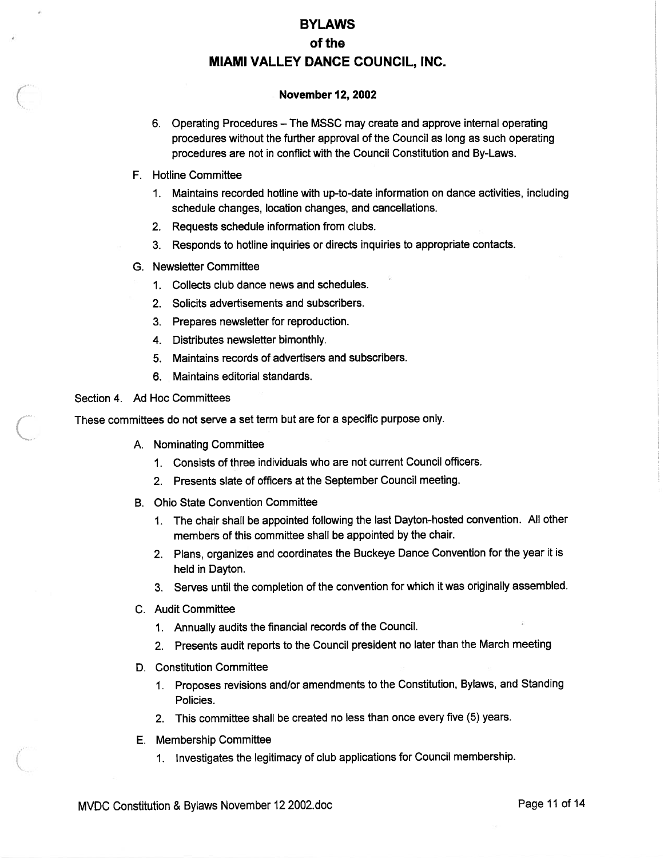### **November 12, 2002**

- 6. Operating Procedures The MSSC may create and approve internal operating procedures without the further approval of the Council as long as such operating procedures are not in conflict with the Council Constitution and By-Laws.
- F. Hotline Committee

 $\overline{(\ }$ 

- 1. Maintains recorded hotline with up-to-date information on dance activities, including schedule changes, location changes, and cancellations.
- 2. Requests schedule information from clubs.
- 3. Responds to hotline inquiries or directs inquiries to appropriate contacts.
- G. Newsletter Committee
	- 1. Collects club dance news and schedules.
	- 2. Solicits advertisements and subscribers.
	- 3. Prepares newsletter for reproduction.
	- 4. Distributes newsletter bimonthly.
	- 5. Maintains records of advertisers and subscribers.
	- 6. Maintains editorial standards.

## Section 4. Ad Hoc Committees

These committees do not serve a set term but are for a specific purpose only.

- A. Nominating Committee
	- 1. Consists of three individuals who are not current Council officers.
	- 2. Presents slate of officers at the September Council meeting.
- B. Ohio State Convention Committee
	- 1. The chair shall be appointed following the last Dayton-hosted convention. All other members of this committee shall be appointed by the chair.
	- 2. Plans, organizes and coordinates the Buckeye Dance Convention for the year it is held in Dayton.
	- 3. Serves until the completion of the convention for which it was originally assembled.
- C. Audit Committee
	- 1. Annually audits the financial records of the Council.
	- 2. Presents audit reports to the Council president no later than the March meeting
- D. Constitution Committee
	- 1. Proposes revisions and/or amendments to the Constitution, Bylaws, and Standing Policies.
	- 2. This committee shall be created no less than once every five (5) years.
- E. Membership Committee
	- 1. Investigates the legitimacy of club applications for Council membership.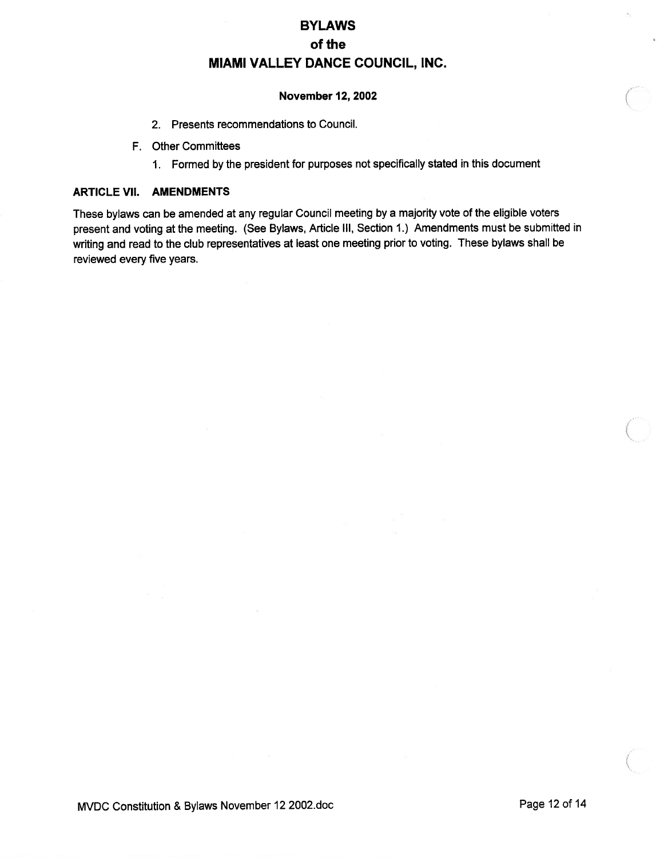### November 12, 2002

- 2. Presents recommendations to Council.
- F. Other Committees
	- 1. Formed by the president for purposes not specifically stated in this document

### ARTICLE VII. AMENDMENTS

These bylaws can be amended at any regular Council meeting by a majority vote of the eligible voters present and voting at the meeting. (See Bylaws, Article III, Section 1.) Amendments must be submitted in writing and read to the club representatives at least one meeting prior to voting. These bylaws shall be reviewed every five years.

(

(

 $\left($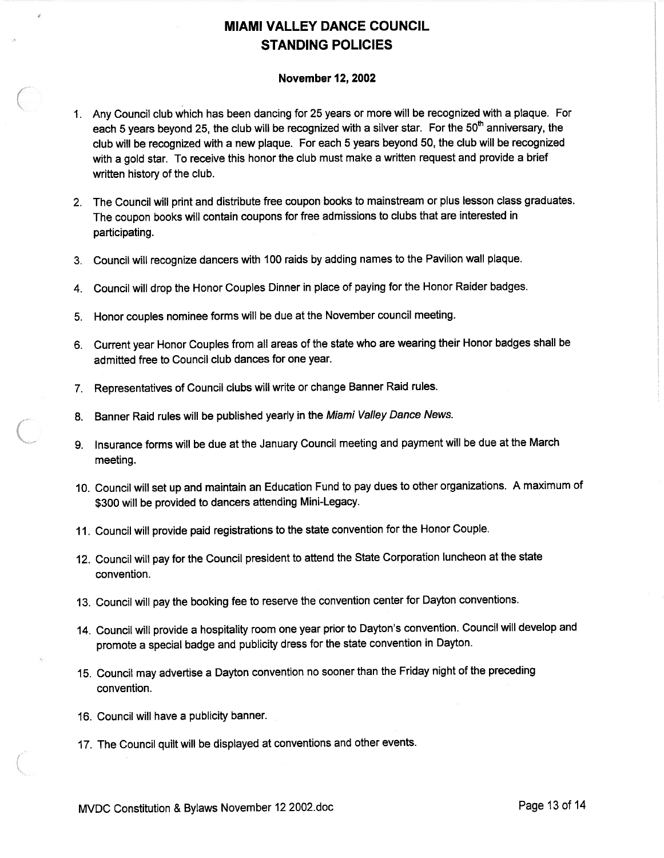# **MIAMI VALLEY DANCE COUNCIL STANDING POLICIES**

## **Novernber12,2002**

- 1. Any Council club which has been dancing for 25 years or more will be recognized with a plaque. For each 5 years beyond 25, the club will be recognized with a silver star. For the 50<sup>th</sup> anniversary, the club will be recognized with a new plaque. For each 5 years beyond 50, the club will be recognized with a gold star. To receive this honor the club must make a written request and provide a brief written history of the club.
- 2. The Council will print and distribute free coupon books to mainstream or plus lesson class graduates. The coupon books will contain coupons for free admissions to clubs that are interested in participating.
- 3. Council will recognize dancers with 100 raids by adding names to the Pavilion wall plaque.
- 4. Council will drop the Honor Couples Dinner in place of paying for the Honor Raider badges.
- 5. Honor couples nominee forms will be due at the November council meeting.
- 6. Current year Honor Couples from all areas of the state who are wearing their Honor badges shall be admitted free to Council club dances for one year.
- 7. Representatives of Council clubs will write or change Banner Raid rules.
- 8. Banner Raid rules will be published yearly in the Miami Valley Dance News.
- 9. Insurance forms will be due at the January Council meeting and payment will be due at the March meeting.
- 10. Council will set up and maintain an Education Fund to pay dues to other organizations. A maximum of \$300 will be provided to dancers attending Mini-Legacy.
- 11. Council will provide paid registrations to the state convention for the Honor Couple.
- 12. Council will pay for the Council president to attend the State Corporation luncheon at the state convention.
- 13. Council will pay the booking fee to reserve the convention center for Dayton conventions.
- 14. Council will provide a hospitality room one year prior to Dayton's convention. Council will develop and promote a special badge and publicity dress for the state convention in Dayton.
- 15. Council may advertise a Dayton convention no sooner than the Friday night of the preceding convention.
- 16. Council will have a publicity banner.

 $\bigg($ 

 $\overline{(\ }$ 

17. The Council quilt will be displayed at conventions and other events.